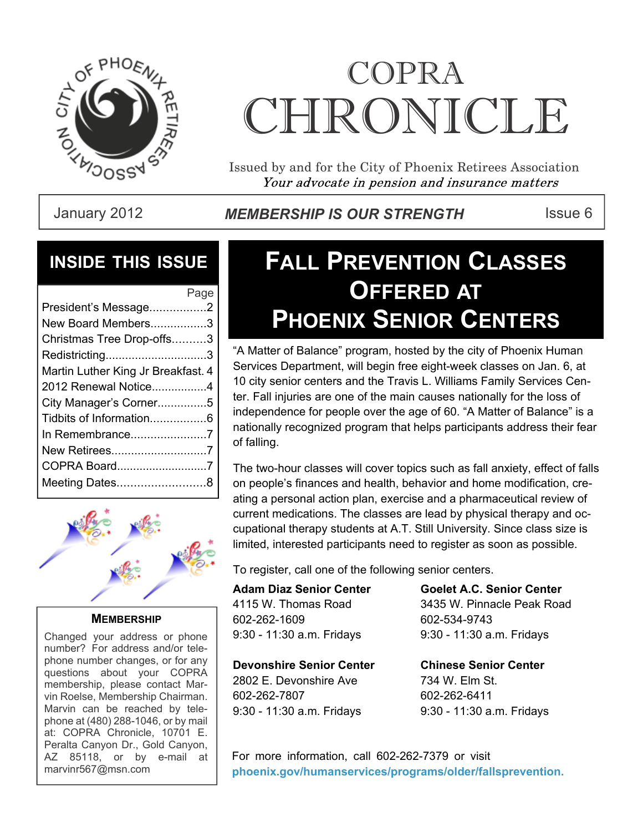

# COPRA CHRONICI.E

Issued by and for the City of Phoenix Retirees Association Your advocate in pension and insurance matters

January 2012 **MEMBERSHIP IS OUR STRENGTH** Issue 6

### **INSIDE THIS ISSUE**

| Page                               |
|------------------------------------|
| President's Message2               |
| New Board Members3                 |
| Christmas Tree Drop-offs3          |
| Redistricting3                     |
| Martin Luther King Jr Breakfast. 4 |
| 2012 Renewal Notice4               |
| City Manager's Corner5             |
|                                    |
|                                    |
| New Retirees7                      |
| COPRA Board7                       |
| Meeting Dates8                     |
|                                    |



**MEMBERSHIP**

Changed your address or phone number? For address and/or telephone number changes, or for any questions about your COPRA membership, please contact Marvin Roelse, Membership Chairman. Marvin can be reached by telephone at (480) 288-1046, or by mail at: COPRA Chronicle, 10701 E. Peralta Canyon Dr., Gold Canyon, AZ 85118, or by e-mail at marvinr567@msn.com

# **FALL PREVENTION CLASSES OFFERED AT PHOENIX SENIOR CENTERS**

"A Matter of Balance" program, hosted by the city of Phoenix Human Services Department, will begin free eight-week classes on Jan. 6, at 10 city senior centers and the Travis L. Williams Family Services Center. Fall injuries are one of the main causes nationally for the loss of independence for people over the age of 60. "A Matter of Balance" is a nationally recognized program that helps participants address their fear of falling.

The two-hour classes will cover topics such as fall anxiety, effect of falls on people's finances and health, behavior and home modification, creating a personal action plan, exercise and a pharmaceutical review of current medications. The classes are lead by physical therapy and occupational therapy students at A.T. Still University. Since class size is limited, interested participants need to register as soon as possible.

To register, call one of the following senior centers.

**Adam Diaz Senior Center** 4115 W. Thomas Road 602-262-1609 9:30 - 11:30 a.m. Fridays

**Goelet A.C. Senior Center** 3435 W. Pinnacle Peak Road 602-534-9743 9:30 - 11:30 a.m. Fridays

**Devonshire Senior Center** 2802 E. Devonshire Ave 602-262-7807 9:30 - 11:30 a.m. Fridays

**Chinese Senior Center** 734 W. Elm St. 602-262-6411 9:30 - 11:30 a.m. Fridays

For more information, call 602-262-7379 or visit **phoenix.gov/humanservices/programs/older/fallsprevention.**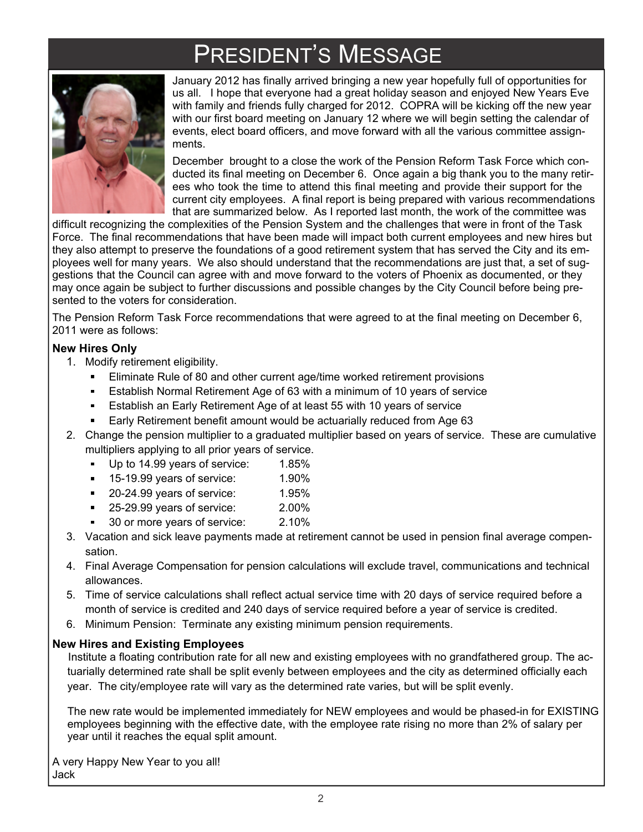# PRESIDENT'S MESSAGE



January 2012 has finally arrived bringing a new year hopefully full of opportunities for us all. I hope that everyone had a great holiday season and enjoyed New Years Eve with family and friends fully charged for 2012. COPRA will be kicking off the new year with our first board meeting on January 12 where we will begin setting the calendar of events, elect board officers, and move forward with all the various committee assignments.

December brought to a close the work of the Pension Reform Task Force which conducted its final meeting on December 6. Once again a big thank you to the many retirees who took the time to attend this final meeting and provide their support for the current city employees. A final report is being prepared with various recommendations that are summarized below. As I reported last month, the work of the committee was

difficult recognizing the complexities of the Pension System and the challenges that were in front of the Task Force. The final recommendations that have been made will impact both current employees and new hires but they also attempt to preserve the foundations of a good retirement system that has served the City and its employees well for many years. We also should understand that the recommendations are just that, a set of suggestions that the Council can agree with and move forward to the voters of Phoenix as documented, or they may once again be subject to further discussions and possible changes by the City Council before being presented to the voters for consideration.

The Pension Reform Task Force recommendations that were agreed to at the final meeting on December 6, 2011 were as follows:

### **New Hires Only**

- 1. Modify retirement eligibility.
	- Eliminate Rule of 80 and other current age/time worked retirement provisions
	- Establish Normal Retirement Age of 63 with a minimum of 10 years of service
	- $\blacksquare$ Establish an Early Retirement Age of at least 55 with 10 years of service
	- Early Retirement benefit amount would be actuarially reduced from Age 63
- 2. Change the pension multiplier to a graduated multiplier based on years of service. These are cumulative multipliers applying to all prior years of service.
	- Up to 14.99 years of service: 1.85%
	- 15-19.99 years of service: 1.90%  $\blacksquare$
	- $\blacksquare$ 20-24.99 years of service: 1.95%
	- 25-29.99 years of service: 2.00%
	- 30 or more years of service: 2.10%
- 3. Vacation and sick leave payments made at retirement cannot be used in pension final average compensation.
- 4. Final Average Compensation for pension calculations will exclude travel, communications and technical allowances.
- 5. Time of service calculations shall reflect actual service time with 20 days of service required before a month of service is credited and 240 days of service required before a year of service is credited.
- 6. Minimum Pension: Terminate any existing minimum pension requirements.

### **New Hires and Existing Employees**

Institute a floating contribution rate for all new and existing employees with no grandfathered group. The actuarially determined rate shall be split evenly between employees and the city as determined officially each year. The city/employee rate will vary as the determined rate varies, but will be split evenly.

The new rate would be implemented immediately for NEW employees and would be phased-in for EXISTING employees beginning with the effective date, with the employee rate rising no more than 2% of salary per year until it reaches the equal split amount.

A very Happy New Year to you all! Jack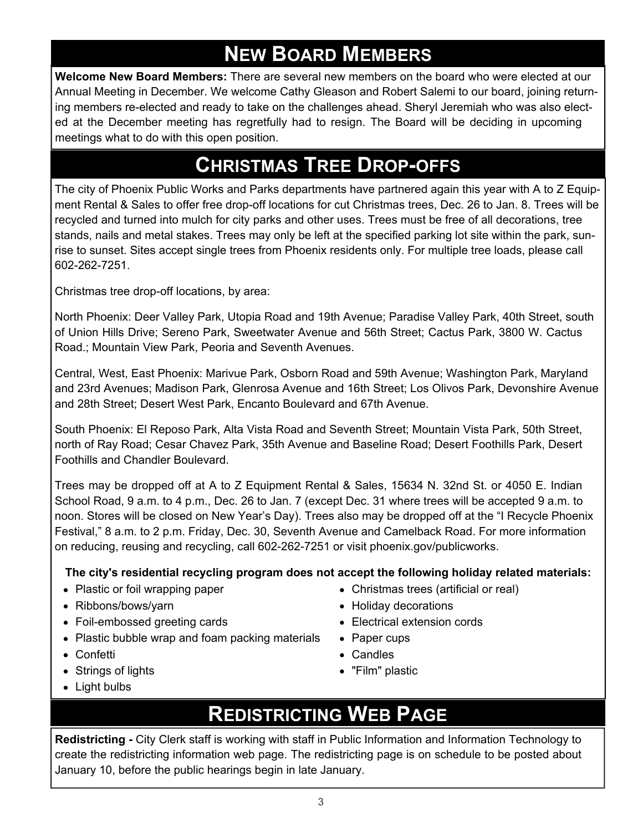# **NEW BOARD MEMBERS**

**Welcome New Board Members:** There are several new members on the board who were elected at our Annual Meeting in December. We welcome Cathy Gleason and Robert Salemi to our board, joining returning members re-elected and ready to take on the challenges ahead. Sheryl Jeremiah who was also elected at the December meeting has regretfully had to resign. The Board will be deciding in upcoming meetings what to do with this open position.

### **CHRISTMAS TREE DROP-OFFS**

The city of Phoenix Public Works and Parks departments have partnered again this year with A to Z Equipment Rental & Sales to offer free drop-off locations for cut Christmas trees, Dec. 26 to Jan. 8. Trees will be recycled and turned into mulch for city parks and other uses. Trees must be free of all decorations, tree stands, nails and metal stakes. Trees may only be left at the specified parking lot site within the park, sunrise to sunset. Sites accept single trees from Phoenix residents only. For multiple tree loads, please call 602-262-7251.

Christmas tree drop-off locations, by area:

North Phoenix: Deer Valley Park, Utopia Road and 19th Avenue; Paradise Valley Park, 40th Street, south of Union Hills Drive; Sereno Park, Sweetwater Avenue and 56th Street; Cactus Park, 3800 W. Cactus Road.; Mountain View Park, Peoria and Seventh Avenues.

Central, West, East Phoenix: Marivue Park, Osborn Road and 59th Avenue; Washington Park, Maryland and 23rd Avenues; Madison Park, Glenrosa Avenue and 16th Street; Los Olivos Park, Devonshire Avenue and 28th Street; Desert West Park, Encanto Boulevard and 67th Avenue.

South Phoenix: El Reposo Park, Alta Vista Road and Seventh Street; Mountain Vista Park, 50th Street, north of Ray Road; Cesar Chavez Park, 35th Avenue and Baseline Road; Desert Foothills Park, Desert Foothills and Chandler Boulevard.

Trees may be dropped off at A to Z Equipment Rental & Sales, 15634 N. 32nd St. or 4050 E. Indian School Road, 9 a.m. to 4 p.m., Dec. 26 to Jan. 7 (except Dec. 31 where trees will be accepted 9 a.m. to noon. Stores will be closed on New Year's Day). Trees also may be dropped off at the "I Recycle Phoenix Festival," 8 a.m. to 2 p.m. Friday, Dec. 30, Seventh Avenue and Camelback Road. For more information on reducing, reusing and recycling, call 602-262-7251 or visit phoenix.gov/publicworks.

**The city's residential recycling program does not accept the following holiday related materials:**

- Plastic or foil wrapping paper
- Ribbons/bows/yarn
- Foil-embossed greeting cards
- Plastic bubble wrap and foam packing materials
- Confetti
- Strings of lights
- Light bulbs

# **REDISTRICTING WEB PAGE**

**Redistricting -** City Clerk staff is working with staff in Public Information and Information Technology to create the redistricting information web page. The redistricting page is on schedule to be posted about January 10, before the public hearings begin in late January.

- Christmas trees (artificial or real)
- Holiday decorations
- Electrical extension cords
- Paper cups
- Candles
- "Film" plastic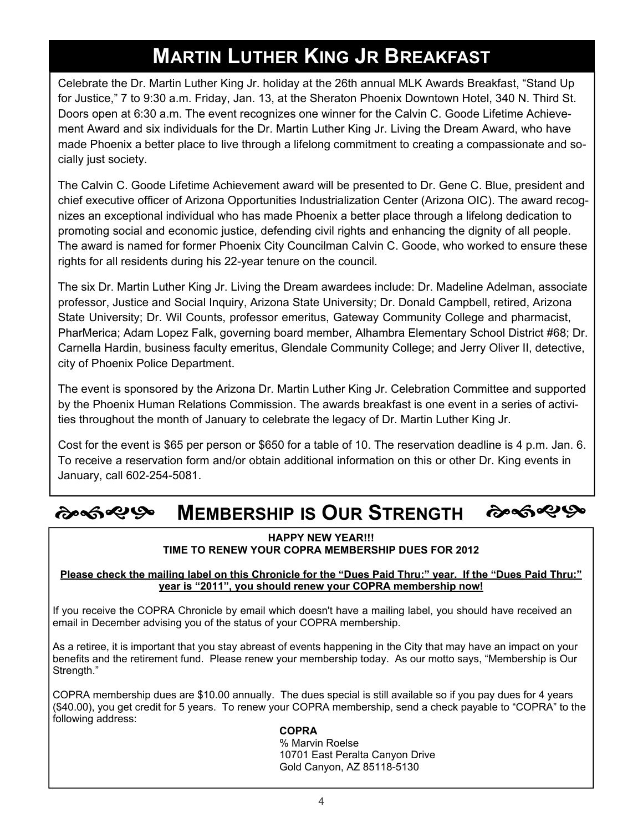# **MARTIN LUTHER KING JR BREAKFAST**

Celebrate the Dr. Martin Luther King Jr. holiday at the 26th annual MLK Awards Breakfast, "Stand Up for Justice," 7 to 9:30 a.m. Friday, Jan. 13, at the Sheraton Phoenix Downtown Hotel, 340 N. Third St. Doors open at 6:30 a.m. The event recognizes one winner for the Calvin C. Goode Lifetime Achievement Award and six individuals for the Dr. Martin Luther King Jr. Living the Dream Award, who have made Phoenix a better place to live through a lifelong commitment to creating a compassionate and socially just society.

The Calvin C. Goode Lifetime Achievement award will be presented to Dr. Gene C. Blue, president and chief executive officer of Arizona Opportunities Industrialization Center (Arizona OIC). The award recognizes an exceptional individual who has made Phoenix a better place through a lifelong dedication to promoting social and economic justice, defending civil rights and enhancing the dignity of all people. The award is named for former Phoenix City Councilman Calvin C. Goode, who worked to ensure these rights for all residents during his 22-year tenure on the council.

The six Dr. Martin Luther King Jr. Living the Dream awardees include: Dr. Madeline Adelman, associate professor, Justice and Social Inquiry, Arizona State University; Dr. Donald Campbell, retired, Arizona State University; Dr. Wil Counts, professor emeritus, Gateway Community College and pharmacist, PharMerica; Adam Lopez Falk, governing board member, Alhambra Elementary School District #68; Dr. Carnella Hardin, business faculty emeritus, Glendale Community College; and Jerry Oliver II, detective, city of Phoenix Police Department.

The event is sponsored by the Arizona Dr. Martin Luther King Jr. Celebration Committee and supported by the Phoenix Human Relations Commission. The awards breakfast is one event in a series of activities throughout the month of January to celebrate the legacy of Dr. Martin Luther King Jr.

Cost for the event is \$65 per person or \$650 for a table of 10. The reservation deadline is 4 p.m. Jan. 6. To receive a reservation form and/or obtain additional information on this or other Dr. King events in January, call 602-254-5081.

#### ৻ৡ৽ঽ৽৻ঌ ৻ৡ৽ৼ৽৻ঌ **MEMBERSHIP IS OUR STRENGTH**

#### **HAPPY NEW YEAR!!! TIME TO RENEW YOUR COPRA MEMBERSHIP DUES FOR 2012**

### **Please check the mailing label on this Chronicle for the "Dues Paid Thru:" year. If the "Dues Paid Thru:" year is "2011", you should renew your COPRA membership now!**

If you receive the COPRA Chronicle by email which doesn't have a mailing label, you should have received an email in December advising you of the status of your COPRA membership.

As a retiree, it is important that you stay abreast of events happening in the City that may have an impact on your benefits and the retirement fund. Please renew your membership today. As our motto says, "Membership is Our Strength."

COPRA membership dues are \$10.00 annually. The dues special is still available so if you pay dues for 4 years (\$40.00), you get credit for 5 years. To renew your COPRA membership, send a check payable to "COPRA" to the following address:

### **COPRA**

 % Marvin Roelse 10701 East Peralta Canyon Drive Gold Canyon, AZ 85118-5130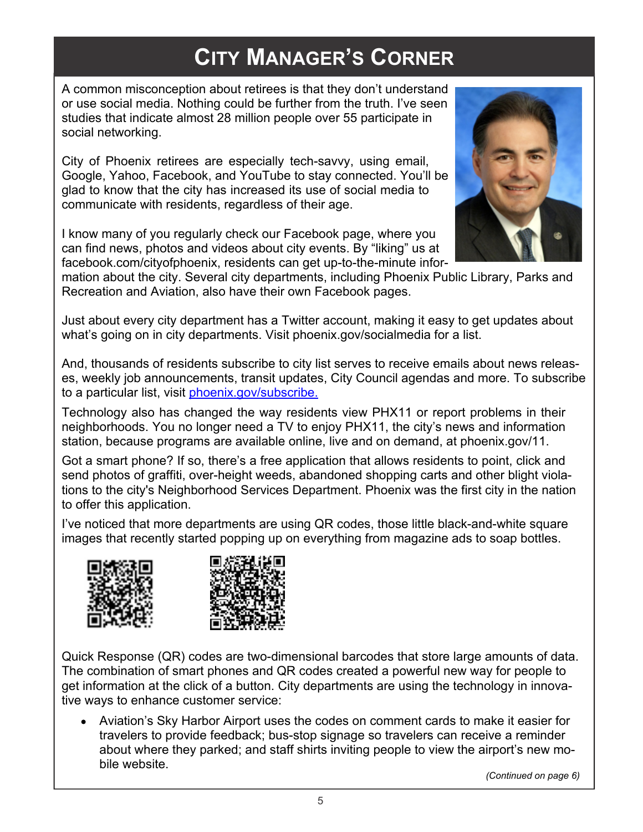# **CITY MANAGER'S CORNER**

A common misconception about retirees is that they don't understand or use social media. Nothing could be further from the truth. I've seen studies that indicate almost 28 million people over 55 participate in social networking.

City of Phoenix retirees are especially tech-savvy, using email, Google, Yahoo, Facebook, and YouTube to stay connected. You'll be glad to know that the city has increased its use of social media to communicate with residents, regardless of their age.

I know many of you regularly check our Facebook page, where you can find news, photos and videos about city events. By "liking" us at facebook.com/cityofphoenix, residents can get up-to-the-minute infor-



mation about the city. Several city departments, including Phoenix Public Library, Parks and Recreation and Aviation, also have their own Facebook pages.

Just about every city department has a Twitter account, making it easy to get updates about what's going on in city departments. Visit phoenix.gov/socialmedia for a list.

And, thousands of residents subscribe to city list serves to receive emails about news releases, weekly job announcements, transit updates, City Council agendas and more. To subscribe to a particular list, visit *phoenix.gov/subscribe.* 

Technology also has changed the way residents view PHX11 or report problems in their neighborhoods. You no longer need a TV to enjoy PHX11, the city's news and information station, because programs are available online, live and on demand, at phoenix.gov/11.

Got a smart phone? If so, there's a free application that allows residents to point, click and send photos of graffiti, over-height weeds, abandoned shopping carts and other blight violations to the city's Neighborhood Services Department. Phoenix was the first city in the nation to offer this application.

I've noticed that more departments are using QR codes, those little black-and-white square images that recently started popping up on everything from magazine ads to soap bottles.





Quick Response (QR) codes are two-dimensional barcodes that store large amounts of data. The combination of smart phones and QR codes created a powerful new way for people to get information at the click of a button. City departments are using the technology in innovative ways to enhance customer service:

Aviation's Sky Harbor Airport uses the codes on comment cards to make it easier for travelers to provide feedback; bus-stop signage so travelers can receive a reminder about where they parked; and staff shirts inviting people to view the airport's new mobile website.

 *(Continued on page 6)*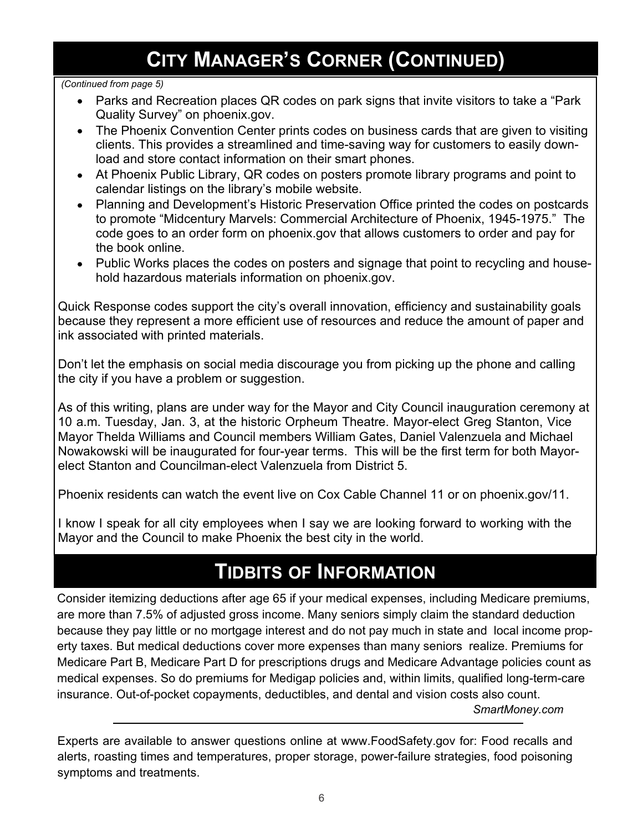# **CITY MANAGER'S CORNER (CONTINUED)**

### *(Continued from page 5)*

- Parks and Recreation places QR codes on park signs that invite visitors to take a "Park Quality Survey" on phoenix.gov.
- The Phoenix Convention Center prints codes on business cards that are given to visiting clients. This provides a streamlined and time-saving way for customers to easily download and store contact information on their smart phones.
- At Phoenix Public Library, QR codes on posters promote library programs and point to calendar listings on the library's mobile website.
- Planning and Development's Historic Preservation Office printed the codes on postcards to promote "Midcentury Marvels: Commercial Architecture of Phoenix, 1945-1975." The code goes to an order form on phoenix.gov that allows customers to order and pay for the book online.
- Public Works places the codes on posters and signage that point to recycling and household hazardous materials information on phoenix.gov.

Quick Response codes support the city's overall innovation, efficiency and sustainability goals because they represent a more efficient use of resources and reduce the amount of paper and ink associated with printed materials.

Don't let the emphasis on social media discourage you from picking up the phone and calling the city if you have a problem or suggestion.

As of this writing, plans are under way for the Mayor and City Council inauguration ceremony at 10 a.m. Tuesday, Jan. 3, at the historic Orpheum Theatre. Mayor-elect Greg Stanton, Vice Mayor Thelda Williams and Council members William Gates, Daniel Valenzuela and Michael Nowakowski will be inaugurated for four-year terms. This will be the first term for both Mayorelect Stanton and Councilman-elect Valenzuela from District 5.

Phoenix residents can watch the event live on Cox Cable Channel 11 or on phoenix.gov/11.

I know I speak for all city employees when I say we are looking forward to working with the Mayor and the Council to make Phoenix the best city in the world.

# **TIDBITS OF INFORMATION**

Consider itemizing deductions after age 65 if your medical expenses, including Medicare premiums, are more than 7.5% of adjusted gross income. Many seniors simply claim the standard deduction because they pay little or no mortgage interest and do not pay much in state and local income property taxes. But medical deductions cover more expenses than many seniors realize. Premiums for Medicare Part B, Medicare Part D for prescriptions drugs and Medicare Advantage policies count as medical expenses. So do premiums for Medigap policies and, within limits, qualified long-term-care insurance. Out-of-pocket copayments, deductibles, and dental and vision costs also count.

 *SmartMoney.com*

Experts are available to answer questions online at www.FoodSafety.gov for: Food recalls and alerts, roasting times and temperatures, proper storage, power-failure strategies, food poisoning symptoms and treatments.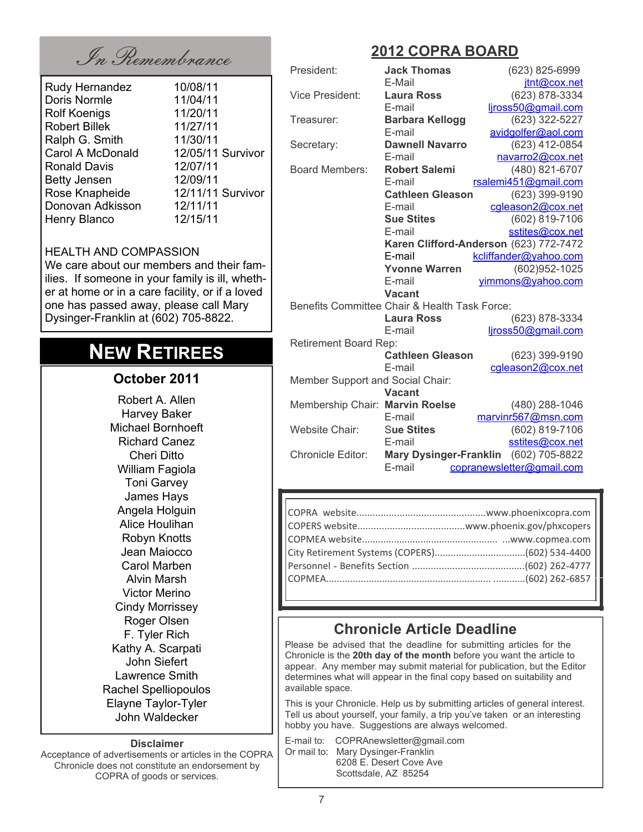In Remembrance **2012 COPRA BOARD**

| Rudy Hernandez       | 10/08/11          |
|----------------------|-------------------|
| Doris Normle         | 11/04/11          |
| <b>Rolf Koenigs</b>  | 11/20/11          |
| <b>Robert Billek</b> | 11/27/11          |
| Ralph G. Smith       | 11/30/11          |
| Carol A McDonald     | 12/05/11 Survivor |
| <b>Ronald Davis</b>  | 12/07/11          |
| <b>Betty Jensen</b>  | 12/09/11          |
| Rose Knapheide       | 12/11/11 Survivor |
| Donovan Adkisson     | 12/11/11          |
| Henry Blanco         | 12/15/11          |

#### HEALTH AND COMPASSION We care about our members and their fam-

ilies. If someone in your family is ill, whether at home or in a care facility, or if a loved one has passed away, please call Mary Dysinger-Franklin at (602) 705-8822.

# **NEW RETIREES**

### **October 2011**

Robert A. Allen Harvey Baker Michael Bornhoeft Richard Canez Cheri Ditto William Fagiola Toni Garvey James Hays Angela Holguin Alice Houlihan Robyn Knotts Jean Maiocco Carol Marben Alvin Marsh Victor Merino Cindy Morrissey Roger Olsen F. Tyler Rich Kathy A. Scarpati John Siefert Lawrence Smith Rachel Spelliopoulos Elayne Taylor-Tyler John Waldecker

#### **Disclaimer**

Acceptance of advertisements or articles in the COPRA Chronicle does not constitute an endorsement by COPRA of goods or services.

| President:                       | <b>Jack Thomas</b>                            | (623) 825-6999                         |  |
|----------------------------------|-----------------------------------------------|----------------------------------------|--|
|                                  | E-Mail                                        | jtnt@cox.net                           |  |
| <b>Vice President:</b>           | <b>Laura Ross</b>                             | (623) 878-3334                         |  |
|                                  | E-mail                                        | ljross50@gmail.com                     |  |
| Treasurer:                       | <b>Barbara Kellogg</b>                        | (623) 322-5227                         |  |
|                                  | E-mail                                        | avidgolfer@aol.com                     |  |
| Secretary:                       | <b>Dawnell Navarro</b>                        | (623) 412-0854                         |  |
|                                  | E-mail                                        | navarro2@cox.net                       |  |
| <b>Board Members:</b>            | <b>Robert Salemi</b>                          | (480) 821-6707                         |  |
|                                  | E-mail                                        | rsalemi451@gmail.com                   |  |
|                                  | <b>Cathleen Gleason</b>                       | (623) 399-9190                         |  |
|                                  | E-mail                                        | cgleason2@cox.net                      |  |
|                                  | <b>Sue Stites</b>                             | (602) 819-7106                         |  |
|                                  | E-mail                                        | sstites@cox.net                        |  |
|                                  |                                               | Karen Clifford-Anderson (623) 772-7472 |  |
|                                  | E-mail                                        | kcliffander@yahoo.com                  |  |
|                                  | <b>Yvonne Warren</b>                          | (602)952-1025                          |  |
|                                  | E-mail                                        | yimmons@yahoo.com                      |  |
|                                  | <b>Vacant</b>                                 |                                        |  |
|                                  | Benefits Committee Chair & Health Task Force: |                                        |  |
|                                  | <b>Laura Ross</b>                             | (623) 878-3334                         |  |
|                                  | E-mail                                        | ljross50@gmail.com                     |  |
| <b>Retirement Board Rep:</b>     |                                               |                                        |  |
|                                  | <b>Cathleen Gleason</b>                       | (623) 399-9190                         |  |
|                                  | E-mail                                        | cgleason2@cox.net                      |  |
| Member Support and Social Chair: |                                               |                                        |  |
|                                  | <b>Vacant</b>                                 |                                        |  |
| Membership Chair: Marvin Roelse  |                                               | (480) 288-1046                         |  |
|                                  | E-mail                                        | marvinr567@msn.com                     |  |
| Website Chair:                   | <b>Sue Stites</b>                             | (602) 819-7106                         |  |
|                                  | E-mail                                        | sstites@cox.net                        |  |
| <b>Chronicle Editor:</b>         | <b>Mary Dysinger-Franklin</b>                 | (602) 705-8822                         |  |
|                                  | E-mail                                        | copranewsletter@gmail.com              |  |
|                                  |                                               |                                        |  |

### **Chronicle Article Deadline**

Please be advised that the deadline for submitting articles for the Chronicle is the **20th day of the month** before you want the article to appear. Any member may submit material for publication, but the Editor determines what will appear in the final copy based on suitability and available space.

This is your Chronicle. Help us by submitting articles of general interest. Tell us about yourself, your family, a trip you've taken or an interesting hobby you have. Suggestions are always welcomed.

E-mail to: COPRAnewsletter@gmail.com Or mail to: Mary Dysinger-Franklin 6208 E. Desert Cove Ave Scottsdale, AZ 85254